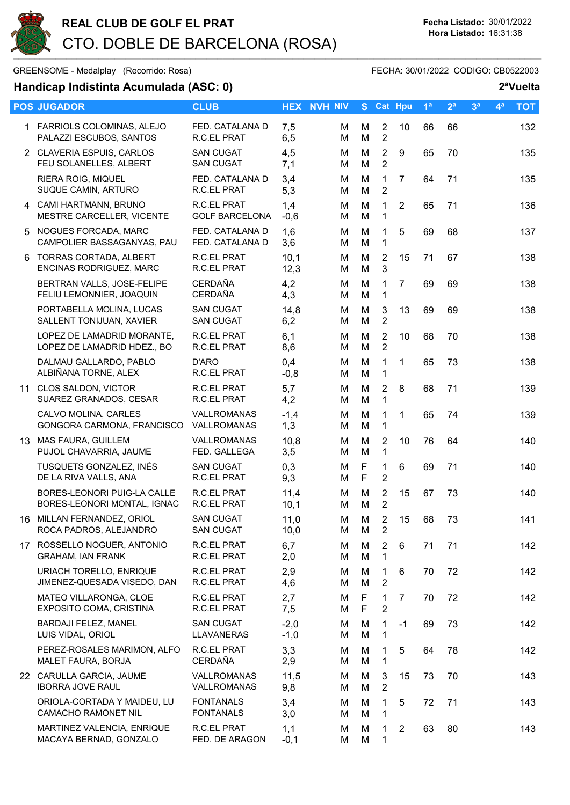

## Handicap Indistinta Acumulada (ASC: 0) 2ªVuelta

| $\alpha$ randicap muistima Acumulada (AOO: 0) |                                                            |                                      |                  |                    |        |                                  |                |                | v uvite        |                |                |            |
|-----------------------------------------------|------------------------------------------------------------|--------------------------------------|------------------|--------------------|--------|----------------------------------|----------------|----------------|----------------|----------------|----------------|------------|
|                                               | <b>POS JUGADOR</b>                                         | <b>CLUB</b>                          |                  | <b>HEX NVH NIV</b> |        | S Cat Hpu                        |                | 1 <sup>a</sup> | 2 <sup>a</sup> | 3 <sup>a</sup> | 4 <sup>a</sup> | <b>TOT</b> |
|                                               | 1 FARRIOLS COLOMINAS, ALEJO<br>PALAZZI ESCUBOS, SANTOS     | FED. CATALANA D<br>R.C.EL PRAT       | 7,5<br>6,5       | м<br>M             | M<br>M | $\overline{2}$<br>$\overline{2}$ | 10             | 66             | 66             |                |                | 132        |
|                                               | 2 CLAVERIA ESPUIS, CARLOS<br>FEU SOLANELLES, ALBERT        | <b>SAN CUGAT</b><br><b>SAN CUGAT</b> | 4,5<br>7,1       | м<br>M             | M<br>M | $\overline{2}$<br>$\overline{2}$ | 9              | 65             | 70             |                |                | 135        |
|                                               | RIERA ROIG, MIQUEL<br>SUQUE CAMIN, ARTURO                  | FED. CATALANA D<br>R.C.EL PRAT       | 3,4<br>5,3       | M<br>M             | M<br>M | $\mathbf{1}$<br>$\overline{2}$   | $\overline{7}$ | 64             | 71             |                |                | 135        |
|                                               | 4 CAMI HARTMANN, BRUNO<br>MESTRE CARCELLER, VICENTE        | R.C.EL PRAT<br><b>GOLF BARCELONA</b> | 1,4<br>$-0,6$    | м<br>м             | M<br>M | 1<br>1                           | $\overline{2}$ | 65             | 71             |                |                | 136        |
|                                               | 5 NOGUES FORCADA, MARC<br>CAMPOLIER BASSAGANYAS, PAU       | FED. CATALANA D<br>FED. CATALANA D   | 1,6<br>3,6       | м<br>м             | M<br>M | 1<br>1                           | 5              | 69             | 68             |                |                | 137        |
| 6                                             | <b>TORRAS CORTADA, ALBERT</b><br>ENCINAS RODRIGUEZ, MARC   | <b>R.C.EL PRAT</b><br>R.C.EL PRAT    | 10,1<br>12,3     | м<br>м             | M<br>M | $\overline{2}$<br>3              | 15             | 71             | 67             |                |                | 138        |
|                                               | BERTRAN VALLS, JOSE-FELIPE<br>FELIU LEMONNIER, JOAQUIN     | <b>CERDAÑA</b><br><b>CERDAÑA</b>     | 4,2<br>4,3       | М<br>M             | M<br>M | 1<br>$\mathbf{1}$                | $\overline{7}$ | 69             | 69             |                |                | 138        |
|                                               | PORTABELLA MOLINA, LUCAS<br>SALLENT TONIJUAN, XAVIER       | <b>SAN CUGAT</b><br><b>SAN CUGAT</b> | 14,8<br>6,2      | M<br>M             | M<br>M | $\mathbf{3}$<br>$\overline{2}$   | 13             | 69             | 69             |                |                | 138        |
|                                               | LOPEZ DE LAMADRID MORANTE,<br>LOPEZ DE LAMADRID HDEZ., BO  | R.C.EL PRAT<br>R.C.EL PRAT           | 6,1<br>8,6       | м<br>M             | M<br>M | $\overline{2}$<br>$\overline{2}$ | 10             | 68             | 70             |                |                | 138        |
|                                               | DALMAU GALLARDO, PABLO<br>ALBIÑANA TORNE, ALEX             | D'ARO<br>R.C.EL PRAT                 | 0,4<br>$-0,8$    | м<br>M             | M<br>M | $\mathbf 1$<br>1                 | $\mathbf{1}$   | 65             | 73             |                |                | 138        |
|                                               | 11 CLOS SALDON, VICTOR<br>SUAREZ GRANADOS, CESAR           | R.C.EL PRAT<br>R.C.EL PRAT           | 5,7<br>4,2       | м<br>м             | M<br>M | $\overline{2}$<br>1              | 8              | 68             | 71             |                |                | 139        |
|                                               | CALVO MOLINA, CARLES<br>GONGORA CARMONA, FRANCISCO         | VALLROMANAS<br>VALLROMANAS           | $-1,4$<br>1,3    | M<br>M             | M<br>M | 1<br>1                           | $\mathbf{1}$   | 65             | 74             |                |                | 139        |
|                                               | 13 MAS FAURA, GUILLEM<br>PUJOL CHAVARRIA, JAUME            | VALLROMANAS<br>FED. GALLEGA          | 10,8<br>3,5      | м<br>м             | M<br>M | $\overline{2}$<br>1              | 10             | 76             | 64             |                |                | 140        |
|                                               | TUSQUETS GONZALEZ, INÉS<br>DE LA RIVA VALLS, ANA           | <b>SAN CUGAT</b><br>R.C.EL PRAT      | 0,3<br>9,3       | M<br>M             | F<br>F | 1<br>$\overline{2}$              | $6\phantom{1}$ | 69             | 71             |                |                | 140        |
|                                               | BORES-LEONORI PUIG-LA CALLE<br>BORES-LEONORI MONTAL, IGNAC | <b>R.C.EL PRAT</b><br>R.C.EL PRAT    | 11,4<br>10,1     | м<br>M             | M<br>M | $\overline{2}$<br>$\overline{2}$ | 15             | 67             | 73             |                |                | 140        |
|                                               | 16 MILLAN FERNANDEZ, ORIOL<br>ROCA PADROS, ALEJANDRO       | <b>SAN CUGAT</b><br><b>SAN CUGAT</b> | 11,0<br>10,0     | M<br>м             | M<br>M | $\overline{2}$<br>2              | 15             | 68             | 73             |                |                | 141        |
|                                               | 17 ROSSELLO NOGUER, ANTONIO<br><b>GRAHAM, IAN FRANK</b>    | R.C.EL PRAT<br>R.C.EL PRAT           | 6,7<br>2,0       | м<br>м             | М<br>M | 2<br>1                           | 6              | 71             | 71             |                |                | 142        |
|                                               | URIACH TORELLO, ENRIQUE<br>JIMENEZ-QUESADA VISEDO, DAN     | R.C.EL PRAT<br>R.C.EL PRAT           | 2,9<br>4,6       | м<br>м             | M<br>M | 1<br>$\overline{2}$              | 6              | 70             | 72             |                |                | 142        |
|                                               | MATEO VILLARONGA, CLOE<br>EXPOSITO COMA, CRISTINA          | R.C.EL PRAT<br>R.C.EL PRAT           | 2,7<br>7,5       | м<br>м             | F<br>F | 1<br>$\overline{2}$              | $\overline{7}$ | 70             | 72             |                |                | 142        |
|                                               | BARDAJI FELEZ, MANEL<br>LUIS VIDAL, ORIOL                  | <b>SAN CUGAT</b><br>LLAVANERAS       | $-2,0$<br>$-1,0$ | м<br>м             | M<br>M | $\mathbf{1}$<br>1                | $-1$           | 69             | 73             |                |                | 142        |
|                                               | PEREZ-ROSALES MARIMON, ALFO<br>MALET FAURA, BORJA          | R.C.EL PRAT<br><b>CERDAÑA</b>        | 3,3<br>2,9       | м<br>м             | М<br>M | 1<br>1                           | 5              | 64             | 78             |                |                | 142        |
|                                               | 22 CARULLA GARCIA, JAUME<br><b>IBORRA JOVE RAUL</b>        | VALLROMANAS<br>VALLROMANAS           | 11,5<br>9,8      | м<br>M             | М<br>M | 3<br>$\overline{2}$              | 15             | 73             | 70             |                |                | 143        |
|                                               | ORIOLA-CORTADA Y MAIDEU, LU<br><b>CAMACHO RAMONET NIL</b>  | <b>FONTANALS</b><br><b>FONTANALS</b> | 3,4<br>3,0       | M<br>м             | M<br>M | 1.<br>$\mathbf 1$                | 5              | 72             | 71             |                |                | 143        |
|                                               | MARTINEZ VALENCIA, ENRIQUE<br>MACAYA BERNAD, GONZALO       | R.C.EL PRAT<br>FED. DE ARAGON        | 1,1<br>$-0,1$    | м<br>м             | м<br>M | 1<br>1                           | 2              | 63             | 80             |                |                | 143        |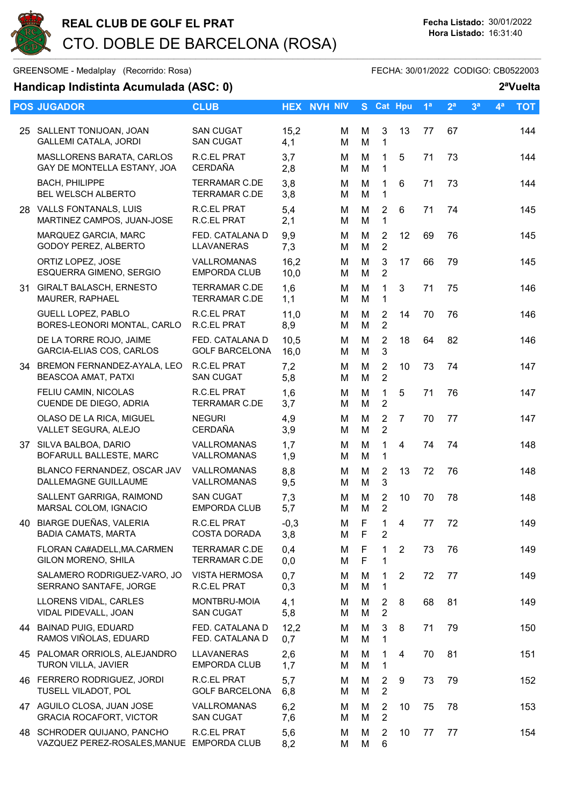

## GREENSOME - Medalplay (Recorrido: Rosa) GREENSOME - FECHA: 30/01/2022 CODIGO: CB0522003

## Handicap Indistinta Acumulada (ASC: 0) 2ªVuelta

|    | <b>POS JUGADOR</b>                                                       | <b>CLUB</b>                                  |               | <b>HEX NVH NIV</b> | S.               |                                  | Cat Hpu        | 1 <sup>a</sup> | 2 <sup>a</sup> | 3 <sup>a</sup> | 4 <sup>a</sup> | <b>TOT</b> |
|----|--------------------------------------------------------------------------|----------------------------------------------|---------------|--------------------|------------------|----------------------------------|----------------|----------------|----------------|----------------|----------------|------------|
|    | 25 SALLENT TONIJOAN, JOAN<br><b>GALLEMI CATALA, JORDI</b>                | <b>SAN CUGAT</b><br><b>SAN CUGAT</b>         | 15,2<br>4,1   | м<br>М             | M<br>M           | $\mathbf{3}$<br>$\mathbf{1}$     | 13             | 77             | 67             |                |                | 144        |
|    | MASLLORENS BARATA, CARLOS<br>GAY DE MONTELLA ESTANY, JOA                 | <b>R.C.EL PRAT</b><br><b>CERDAÑA</b>         | 3,7<br>2,8    | м<br>м             | М<br>M           | $\mathbf{1}$<br>1                | 5              | 71             | 73             |                |                | 144        |
|    | <b>BACH, PHILIPPE</b><br><b>BEL WELSCH ALBERTO</b>                       | <b>TERRAMAR C.DE</b><br><b>TERRAMAR C.DE</b> | 3,8<br>3,8    | м<br>м             | M<br>M           | 1<br>$\mathbf{1}$                | 6              | 71             | 73             |                |                | 144        |
|    | 28 VALLS FONTANALS, LUIS<br>MARTINEZ CAMPOS, JUAN-JOSE                   | R.C.EL PRAT<br>R.C.EL PRAT                   | 5,4<br>2,1    | м<br>м             | М<br>M           | $\overline{2}$<br>$\mathbf{1}$   | $6\phantom{1}$ | 71             | 74             |                |                | 145        |
|    | MARQUEZ GARCIA, MARC<br>GODOY PEREZ, ALBERTO                             | FED. CATALANA D<br><b>LLAVANERAS</b>         | 9,9<br>7,3    | м<br>м             | M<br>M           | $\overline{2}$<br>$\overline{2}$ | 12             | 69             | 76             |                |                | 145        |
|    | ORTIZ LOPEZ, JOSE<br>ESQUERRA GIMENO, SERGIO                             | VALLROMANAS<br><b>EMPORDA CLUB</b>           | 16,2<br>10,0  | М<br>Μ             | M<br>M           | 3<br>$\overline{2}$              | 17             | 66             | 79             |                |                | 145        |
|    | 31 GIRALT BALASCH, ERNESTO<br>MAURER, RAPHAEL                            | <b>TERRAMAR C.DE</b><br><b>TERRAMAR C.DE</b> | 1,6<br>1,1    | M<br>М             | М<br>M           | 1<br>$\mathbf{1}$                | 3              | 71             | 75             |                |                | 146        |
|    | <b>GUELL LOPEZ, PABLO</b><br>BORES-LEONORI MONTAL, CARLO                 | R.C.EL PRAT<br>R.C.EL PRAT                   | 11,0<br>8,9   | М<br>М             | M<br>M           | $\overline{2}$<br>$\overline{2}$ | 14             | 70             | 76             |                |                | 146        |
|    | DE LA TORRE ROJO, JAIME<br>GARCIA-ELIAS COS, CARLOS                      | FED. CATALANA D<br><b>GOLF BARCELONA</b>     | 10,5<br>16,0  | м<br>м             | M<br>M           | $\overline{2}$<br>3              | 18             | 64             | 82             |                |                | 146        |
|    | 34 BREMON FERNANDEZ-AYALA, LEO<br>BEASCOA AMAT, PATXI                    | <b>R.C.EL PRAT</b><br><b>SAN CUGAT</b>       | 7,2<br>5,8    | м<br>М             | M<br>M           | $\overline{2}$<br>$\overline{2}$ | 10             | 73             | 74             |                |                | 147        |
|    | FELIU CAMIN, NICOLAS<br>CUENDE DE DIEGO, ADRIA                           | R.C.EL PRAT<br><b>TERRAMAR C.DE</b>          | 1,6<br>3,7    | M<br>м             | M<br>M           | $\mathbf{1}$<br>$\overline{2}$   | 5              | 71             | 76             |                |                | 147        |
|    | OLASO DE LA RICA, MIGUEL<br>VALLET SEGURA, ALEJO                         | <b>NEGURI</b><br><b>CERDAÑA</b>              | 4,9<br>3,9    | м<br>м             | M<br>M           | $\overline{2}$<br>$\overline{2}$ | $\overline{7}$ | 70             | 77             |                |                | 147        |
|    | 37 SILVA BALBOA, DARIO<br>BOFARULL BALLESTE, MARC                        | VALLROMANAS<br>VALLROMANAS                   | 1,7<br>1,9    | М<br>м             | M<br>M           | $\mathbf{1}$<br>1                | $\overline{4}$ | 74             | 74             |                |                | 148        |
|    | BLANCO FERNANDEZ, OSCAR JAV<br>DALLEMAGNE GUILLAUME                      | VALLROMANAS<br><b>VALLROMANAS</b>            | 8,8<br>9,5    | м<br>м             | М<br>M           | $\overline{2}$<br>3              | 13             | 72             | 76             |                |                | 148        |
|    | SALLENT GARRIGA, RAIMOND<br>MARSAL COLOM, IGNACIO                        | <b>SAN CUGAT</b><br><b>EMPORDA CLUB</b>      | 7,3<br>5,7    | м<br>Μ             | M<br>M           | $\overline{2}$<br>$\overline{2}$ | 10             | 70             | 78             |                |                | 148        |
| 40 | BIARGE DUEÑAS, VALERIA<br><b>BADIA CAMATS, MARTA</b>                     | R.C.EL PRAT<br><b>COSTA DORADA</b>           | $-0,3$<br>3,8 | М<br>Μ             | F<br>F           | 1<br>2                           | 4              | 77             | 72             |                |                | 149        |
|    | FLORAN CA#ADELL, MA.CARMEN<br>GILON MORENO, SHILA                        | <b>TERRAMAR C.DE</b><br><b>TERRAMAR C.DE</b> | 0,4<br>0,0    | м<br>М             | F<br>$\mathsf F$ | 1<br>1                           | $\overline{2}$ | 73             | 76             |                |                | 149        |
|    | SALAMERO RODRIGUEZ-VARO, JO<br>SERRANO SANTAFE, JORGE                    | <b>VISTA HERMOSA</b><br>R.C.EL PRAT          | 0,7<br>0,3    | м<br>М             | М<br>M           | $\mathbf{1}$<br>1                | 2              | 72             | 77             |                |                | 149        |
|    | LLORENS VIDAL, CARLES<br>VIDAL PIDEVALL, JOAN                            | MONTBRU-MOIA<br><b>SAN CUGAT</b>             | 4,1<br>5,8    | м<br>М             | M<br>M           | $\overline{2}$<br>$\overline{2}$ | 8              | 68             | 81             |                |                | 149        |
|    | 44 BAINAD PUIG, EDUARD<br>RAMOS VIÑOLAS, EDUARD                          | FED. CATALANA D<br>FED. CATALANA D           | 12,2<br>0,7   | м<br>м             | M<br>M           | 3<br>1                           | 8              | 71             | 79             |                |                | 150        |
|    | 45 PALOMAR ORRIOLS, ALEJANDRO<br>TURON VILLA, JAVIER                     | <b>LLAVANERAS</b><br><b>EMPORDA CLUB</b>     | 2,6<br>1,7    | м<br>м             | М<br>М           | 1<br>$\mathbf 1$                 | 4              | 70             | 81             |                |                | 151        |
|    | 46 FERRERO RODRIGUEZ, JORDI<br>TUSELL VILADOT, POL                       | R.C.EL PRAT<br><b>GOLF BARCELONA</b>         | 5,7<br>6,8    | М<br>м             | М<br>M           | 2<br>$\sqrt{2}$                  | 9              | 73             | 79             |                |                | 152        |
|    | 47 AGUILO CLOSA, JUAN JOSE<br><b>GRACIA ROCAFORT, VICTOR</b>             | VALLROMANAS<br><b>SAN CUGAT</b>              | 6,2<br>7,6    | M<br>М             | М<br>М           | 2<br>$\overline{2}$              | 10             | 75             | 78             |                |                | 153        |
|    | 48 SCHRODER QUIJANO, PANCHO<br>VAZQUEZ PEREZ-ROSALES, MANUE EMPORDA CLUB | R.C.EL PRAT                                  | 5,6<br>8,2    | м<br>м             | M<br>M           | 2<br>6                           | 10             | 77             | 77             |                |                | 154        |